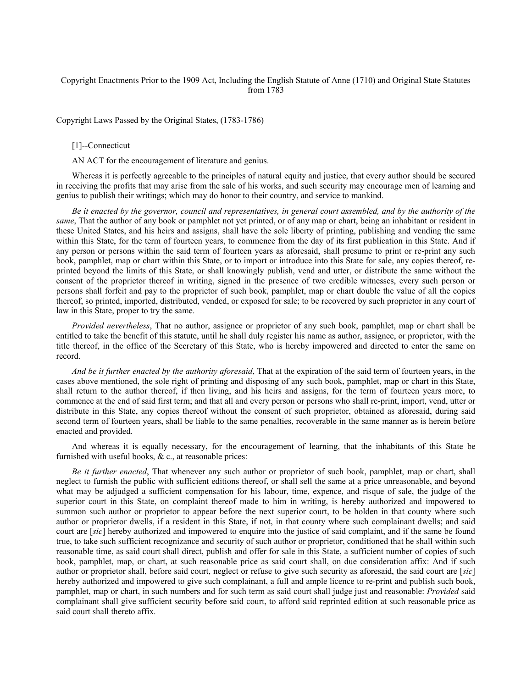## Copyright Enactments Prior to the 1909 Act, Including the English Statute of Anne (1710) and Original State Statutes from 1783

Copyright Laws Passed by the Original States, (1783-1786)

[1]--Connecticut

AN ACT for the encouragement of literature and genius.

Whereas it is perfectly agreeable to the principles of natural equity and justice, that every author should be secured in receiving the profits that may arise from the sale of his works, and such security may encourage men of learning and genius to publish their writings; which may do honor to their country, and service to mankind.

*Be it enacted by the governor, council and representatives, in general court assembled, and by the authority of the same*, That the author of any book or pamphlet not yet printed, or of any map or chart, being an inhabitant or resident in these United States, and his heirs and assigns, shall have the sole liberty of printing, publishing and vending the same within this State, for the term of fourteen years, to commence from the day of its first publication in this State. And if any person or persons within the said term of fourteen years as aforesaid, shall presume to print or re-print any such book, pamphlet, map or chart within this State, or to import or introduce into this State for sale, any copies thereof, reprinted beyond the limits of this State, or shall knowingly publish, vend and utter, or distribute the same without the consent of the proprietor thereof in writing, signed in the presence of two credible witnesses, every such person or persons shall forfeit and pay to the proprietor of such book, pamphlet, map or chart double the value of all the copies thereof, so printed, imported, distributed, vended, or exposed for sale; to be recovered by such proprietor in any court of law in this State, proper to try the same.

*Provided nevertheless*, That no author, assignee or proprietor of any such book, pamphlet, map or chart shall be entitled to take the benefit of this statute, until he shall duly register his name as author, assignee, or proprietor, with the title thereof, in the office of the Secretary of this State, who is hereby impowered and directed to enter the same on record.

*And be it further enacted by the authority aforesaid*, That at the expiration of the said term of fourteen years, in the cases above mentioned, the sole right of printing and disposing of any such book, pamphlet, map or chart in this State, shall return to the author thereof, if then living, and his heirs and assigns, for the term of fourteen years more, to commence at the end of said first term; and that all and every person or persons who shall re-print, import, vend, utter or distribute in this State, any copies thereof without the consent of such proprietor, obtained as aforesaid, during said second term of fourteen years, shall be liable to the same penalties, recoverable in the same manner as is herein before enacted and provided.

And whereas it is equally necessary, for the encouragement of learning, that the inhabitants of this State be furnished with useful books,  $\&c$ , at reasonable prices:

*Be it further enacted*, That whenever any such author or proprietor of such book, pamphlet, map or chart, shall neglect to furnish the public with sufficient editions thereof, or shall sell the same at a price unreasonable, and beyond what may be adjudged a sufficient compensation for his labour, time, expence, and risque of sale, the judge of the superior court in this State, on complaint thereof made to him in writing, is hereby authorized and impowered to summon such author or proprietor to appear before the next superior court, to be holden in that county where such author or proprietor dwells, if a resident in this State, if not, in that county where such complainant dwells; and said court are [*sic*] hereby authorized and impowered to enquire into the justice of said complaint, and if the same be found true, to take such sufficient recognizance and security of such author or proprietor, conditioned that he shall within such reasonable time, as said court shall direct, publish and offer for sale in this State, a sufficient number of copies of such book, pamphlet, map, or chart, at such reasonable price as said court shall, on due consideration affix: And if such author or proprietor shall, before said court, neglect or refuse to give such security as aforesaid, the said court are [*sic*] hereby authorized and impowered to give such complainant, a full and ample licence to re-print and publish such book, pamphlet, map or chart, in such numbers and for such term as said court shall judge just and reasonable: *Provided* said complainant shall give sufficient security before said court, to afford said reprinted edition at such reasonable price as said court shall thereto affix.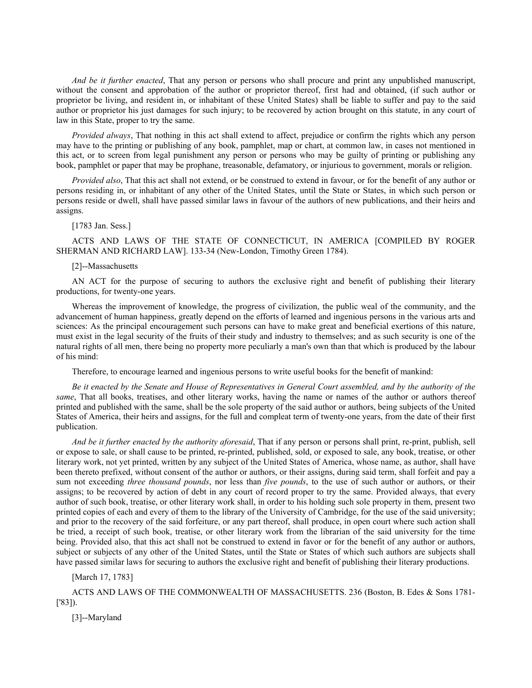*And be it further enacted*, That any person or persons who shall procure and print any unpublished manuscript, without the consent and approbation of the author or proprietor thereof, first had and obtained, (if such author or proprietor be living, and resident in, or inhabitant of these United States) shall be liable to suffer and pay to the said author or proprietor his just damages for such injury; to be recovered by action brought on this statute, in any court of law in this State, proper to try the same.

*Provided always*, That nothing in this act shall extend to affect, prejudice or confirm the rights which any person may have to the printing or publishing of any book, pamphlet, map or chart, at common law, in cases not mentioned in this act, or to screen from legal punishment any person or persons who may be guilty of printing or publishing any book, pamphlet or paper that may be prophane, treasonable, defamatory, or injurious to government, morals or religion.

*Provided also*, That this act shall not extend, or be construed to extend in favour, or for the benefit of any author or persons residing in, or inhabitant of any other of the United States, until the State or States, in which such person or persons reside or dwell, shall have passed similar laws in favour of the authors of new publications, and their heirs and assigns.

#### [1783 Jan. Sess.]

ACTS AND LAWS OF THE STATE OF CONNECTICUT, IN AMERICA [COMPILED BY ROGER SHERMAN AND RICHARD LAW]. 133-34 (New-London, Timothy Green 1784).

### [2]--Massachusetts

AN ACT for the purpose of securing to authors the exclusive right and benefit of publishing their literary productions, for twenty-one years.

Whereas the improvement of knowledge, the progress of civilization, the public weal of the community, and the advancement of human happiness, greatly depend on the efforts of learned and ingenious persons in the various arts and sciences: As the principal encouragement such persons can have to make great and beneficial exertions of this nature, must exist in the legal security of the fruits of their study and industry to themselves; and as such security is one of the natural rights of all men, there being no property more peculiarly a man's own than that which is produced by the labour of his mind:

Therefore, to encourage learned and ingenious persons to write useful books for the benefit of mankind:

*Be it enacted by the Senate and House of Representatives in General Court assembled, and by the authority of the same*, That all books, treatises, and other literary works, having the name or names of the author or authors thereof printed and published with the same, shall be the sole property of the said author or authors, being subjects of the United States of America, their heirs and assigns, for the full and compleat term of twenty-one years, from the date of their first publication.

*And be it further enacted by the authority aforesaid*, That if any person or persons shall print, re-print, publish, sell or expose to sale, or shall cause to be printed, re-printed, published, sold, or exposed to sale, any book, treatise, or other literary work, not yet printed, written by any subject of the United States of America, whose name, as author, shall have been thereto prefixed, without consent of the author or authors, or their assigns, during said term, shall forfeit and pay a sum not exceeding *three thousand pounds*, nor less than *five pounds*, to the use of such author or authors, or their assigns; to be recovered by action of debt in any court of record proper to try the same. Provided always, that every author of such book, treatise, or other literary work shall, in order to his holding such sole property in them, present two printed copies of each and every of them to the library of the University of Cambridge, for the use of the said university; and prior to the recovery of the said forfeiture, or any part thereof, shall produce, in open court where such action shall be tried, a receipt of such book, treatise, or other literary work from the librarian of the said university for the time being. Provided also, that this act shall not be construed to extend in favor or for the benefit of any author or authors, subject or subjects of any other of the United States, until the State or States of which such authors are subjects shall have passed similar laws for securing to authors the exclusive right and benefit of publishing their literary productions.

## [March 17, 1783]

ACTS AND LAWS OF THE COMMONWEALTH OF MASSACHUSETTS. 236 (Boston, B. Edes & Sons 1781- ['83]).

[3]--Maryland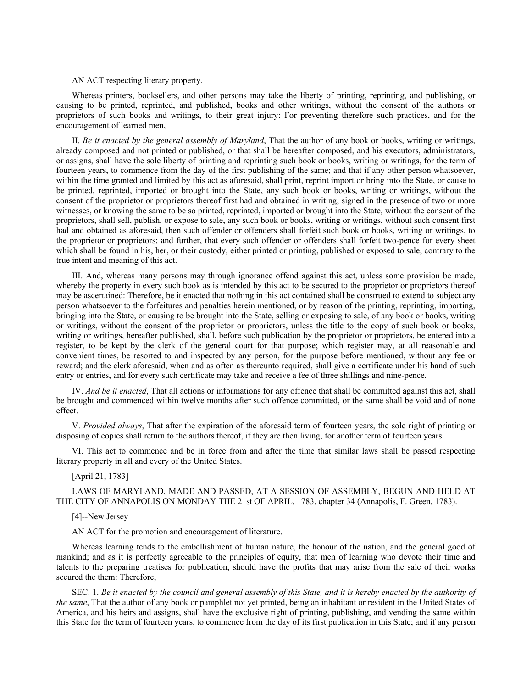### AN ACT respecting literary property.

Whereas printers, booksellers, and other persons may take the liberty of printing, reprinting, and publishing, or causing to be printed, reprinted, and published, books and other writings, without the consent of the authors or proprietors of such books and writings, to their great injury: For preventing therefore such practices, and for the encouragement of learned men,

II. *Be it enacted by the general assembly of Maryland*, That the author of any book or books, writing or writings, already composed and not printed or published, or that shall be hereafter composed, and his executors, administrators, or assigns, shall have the sole liberty of printing and reprinting such book or books, writing or writings, for the term of fourteen years, to commence from the day of the first publishing of the same; and that if any other person whatsoever, within the time granted and limited by this act as aforesaid, shall print, reprint import or bring into the State, or cause to be printed, reprinted, imported or brought into the State, any such book or books, writing or writings, without the consent of the proprietor or proprietors thereof first had and obtained in writing, signed in the presence of two or more witnesses, or knowing the same to be so printed, reprinted, imported or brought into the State, without the consent of the proprietors, shall sell, publish, or expose to sale, any such book or books, writing or writings, without such consent first had and obtained as aforesaid, then such offender or offenders shall forfeit such book or books, writing or writings, to the proprietor or proprietors; and further, that every such offender or offenders shall forfeit two-pence for every sheet which shall be found in his, her, or their custody, either printed or printing, published or exposed to sale, contrary to the true intent and meaning of this act.

III. And, whereas many persons may through ignorance offend against this act, unless some provision be made, whereby the property in every such book as is intended by this act to be secured to the proprietor or proprietors thereof may be ascertained: Therefore, be it enacted that nothing in this act contained shall be construed to extend to subject any person whatsoever to the forfeitures and penalties herein mentioned, or by reason of the printing, reprinting, importing, bringing into the State, or causing to be brought into the State, selling or exposing to sale, of any book or books, writing or writings, without the consent of the proprietor or proprietors, unless the title to the copy of such book or books, writing or writings, hereafter published, shall, before such publication by the proprietor or proprietors, be entered into a register, to be kept by the clerk of the general court for that purpose; which register may, at all reasonable and convenient times, be resorted to and inspected by any person, for the purpose before mentioned, without any fee or reward; and the clerk aforesaid, when and as often as thereunto required, shall give a certificate under his hand of such entry or entries, and for every such certificate may take and receive a fee of three shillings and nine-pence.

IV. *And be it enacted*, That all actions or informations for any offence that shall be committed against this act, shall be brought and commenced within twelve months after such offence committed, or the same shall be void and of none effect.

V. *Provided always*, That after the expiration of the aforesaid term of fourteen years, the sole right of printing or disposing of copies shall return to the authors thereof, if they are then living, for another term of fourteen years.

VI. This act to commence and be in force from and after the time that similar laws shall be passed respecting literary property in all and every of the United States.

[April 21, 1783]

LAWS OF MARYLAND, MADE AND PASSED, AT A SESSION OF ASSEMBLY, BEGUN AND HELD AT THE CITY OF ANNAPOLIS ON MONDAY THE 21st OF APRIL, 1783. chapter 34 (Annapolis, F. Green, 1783).

[4]--New Jersey

AN ACT for the promotion and encouragement of literature.

Whereas learning tends to the embellishment of human nature, the honour of the nation, and the general good of mankind; and as it is perfectly agreeable to the principles of equity, that men of learning who devote their time and talents to the preparing treatises for publication, should have the profits that may arise from the sale of their works secured the them: Therefore,

SEC. 1. *Be it enacted by the council and general assembly of this State, and it is hereby enacted by the authority of the same*, That the author of any book or pamphlet not yet printed, being an inhabitant or resident in the United States of America, and his heirs and assigns, shall have the exclusive right of printing, publishing, and vending the same within this State for the term of fourteen years, to commence from the day of its first publication in this State; and if any person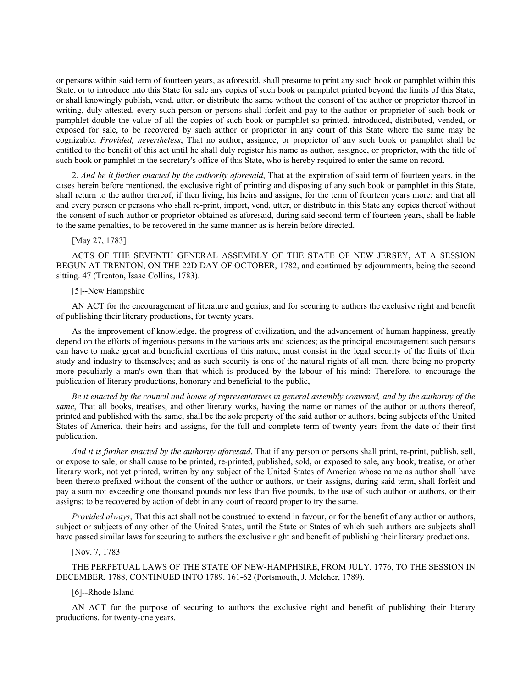or persons within said term of fourteen years, as aforesaid, shall presume to print any such book or pamphlet within this State, or to introduce into this State for sale any copies of such book or pamphlet printed beyond the limits of this State, or shall knowingly publish, vend, utter, or distribute the same without the consent of the author or proprietor thereof in writing, duly attested, every such person or persons shall forfeit and pay to the author or proprietor of such book or pamphlet double the value of all the copies of such book or pamphlet so printed, introduced, distributed, vended, or exposed for sale, to be recovered by such author or proprietor in any court of this State where the same may be cognizable: *Provided, nevertheless*, That no author, assignee, or proprietor of any such book or pamphlet shall be entitled to the benefit of this act until he shall duly register his name as author, assignee, or proprietor, with the title of such book or pamphlet in the secretary's office of this State, who is hereby required to enter the same on record.

2. *And be it further enacted by the authority aforesaid*, That at the expiration of said term of fourteen years, in the cases herein before mentioned, the exclusive right of printing and disposing of any such book or pamphlet in this State, shall return to the author thereof, if then living, his heirs and assigns, for the term of fourteen years more; and that all and every person or persons who shall re-print, import, vend, utter, or distribute in this State any copies thereof without the consent of such author or proprietor obtained as aforesaid, during said second term of fourteen years, shall be liable to the same penalties, to be recovered in the same manner as is herein before directed.

[May 27, 1783]

ACTS OF THE SEVENTH GENERAL ASSEMBLY OF THE STATE OF NEW JERSEY, AT A SESSION BEGUN AT TRENTON, ON THE 22D DAY OF OCTOBER, 1782, and continued by adjournments, being the second sitting. 47 (Trenton, Isaac Collins, 1783).

# [5]--New Hampshire

AN ACT for the encouragement of literature and genius, and for securing to authors the exclusive right and benefit of publishing their literary productions, for twenty years.

As the improvement of knowledge, the progress of civilization, and the advancement of human happiness, greatly depend on the efforts of ingenious persons in the various arts and sciences; as the principal encouragement such persons can have to make great and beneficial exertions of this nature, must consist in the legal security of the fruits of their study and industry to themselves; and as such security is one of the natural rights of all men, there being no property more peculiarly a man's own than that which is produced by the labour of his mind: Therefore, to encourage the publication of literary productions, honorary and beneficial to the public,

*Be it enacted by the council and house of representatives in general assembly convened, and by the authority of the same*, That all books, treatises, and other literary works, having the name or names of the author or authors thereof, printed and published with the same, shall be the sole property of the said author or authors, being subjects of the United States of America, their heirs and assigns, for the full and complete term of twenty years from the date of their first publication.

*And it is further enacted by the authority aforesaid*, That if any person or persons shall print, re-print, publish, sell, or expose to sale; or shall cause to be printed, re-printed, published, sold, or exposed to sale, any book, treatise, or other literary work, not yet printed, written by any subject of the United States of America whose name as author shall have been thereto prefixed without the consent of the author or authors, or their assigns, during said term, shall forfeit and pay a sum not exceeding one thousand pounds nor less than five pounds, to the use of such author or authors, or their assigns; to be recovered by action of debt in any court of record proper to try the same.

*Provided always*, That this act shall not be construed to extend in favour, or for the benefit of any author or authors, subject or subjects of any other of the United States, until the State or States of which such authors are subjects shall have passed similar laws for securing to authors the exclusive right and benefit of publishing their literary productions.

#### [Nov. 7, 1783]

THE PERPETUAL LAWS OF THE STATE OF NEW-HAMPHSIRE, FROM JULY, 1776, TO THE SESSION IN DECEMBER, 1788, CONTINUED INTO 1789. 161-62 (Portsmouth, J. Melcher, 1789).

## [6]--Rhode Island

AN ACT for the purpose of securing to authors the exclusive right and benefit of publishing their literary productions, for twenty-one years.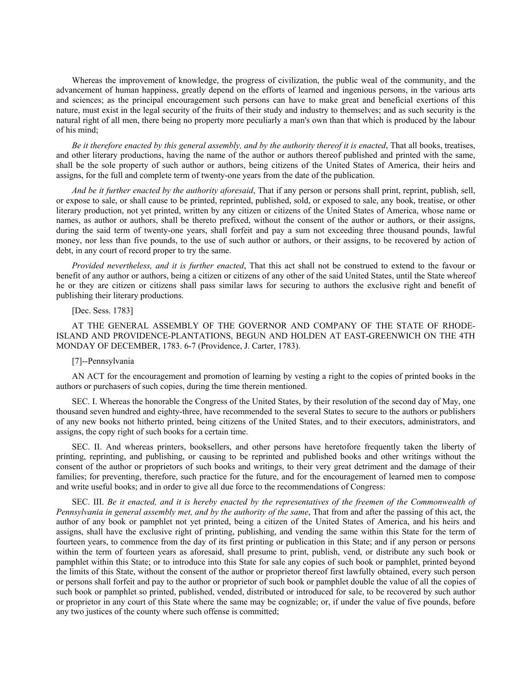Whereas the improvement of knowledge, the progress of civilization, the public weal of the community, and the advancement of human happiness, greatly depend on the efforts of learned and ingenious persons, in the various arts and sciences; as the principal encouragement such persons can have to make great and beneficial exertions of this nature, must exist in the legal security of the fruits of their study and industry to themselves; and as such security is the natural right of all men, there being no property more peculiarly a man's own than that which is produced by the labour of his mind;

*Be it therefore enacted by this general assembly, and by the authority thereof it is enacted*, That all books, treatises, and other literary productions, having the name of the author or authors thereof published and printed with the same, shall be the sole property of such author or authors, being citizens of the United States of America, their heirs and assigns, for the full and complete term of twenty-one years from the date of the publication.

*And be it further enacted by the authority aforesaid*, That if any person or persons shall print, reprint, publish, sell, or expose to sale, or shall cause to be printed, reprinted, published, sold, or exposed to sale, any book, treatise, or other literary production, not yet printed, written by any citizen or citizens of the United States of America, whose name or names, as author or authors, shall be thereto prefixed, without the consent of the author or authors, or their assigns, during the said term of twenty-one years, shall forfeit and pay a sum not exceeding three thousand pounds, lawful money, nor less than five pounds, to the use of such author or authors, or their assigns, to be recovered by action of debt, in any court of record proper to try the same.

*Provided nevertheless, and it is further enacted*, That this act shall not be construed to extend to the favour or benefit of any author or authors, being a citizen or citizens of any other of the said United States, until the State whereof he or they are citizen or citizens shall pass similar laws for securing to authors the exclusive right and benefit of publishing their literary productions.

# [Dec. Sess. 1783]

AT THE GENERAL ASSEMBLY OF THE GOVERNOR AND COMPANY OF THE STATE OF RHODE-ISLAND AND PROVIDENCE-PLANTATIONS, BEGUN AND HOLDEN AT EAST-GREENWICH ON THE 4TH MONDAY OF DECEMBER, 1783. 6-7 (Providence, J. Carter, 1783).

### [7]--Pennsylvania

AN ACT for the encouragement and promotion of learning by vesting a right to the copies of printed books in the authors or purchasers of such copies, during the time therein mentioned.

SEC. I. Whereas the honorable the Congress of the United States, by their resolution of the second day of May, one thousand seven hundred and eighty-three, have recommended to the several States to secure to the authors or publishers of any new books not hitherto printed, being citizens of the United States, and to their executors, administrators, and assigns, the copy right of such books for a certain time.

SEC. II. And whereas printers, booksellers, and other persons have heretofore frequently taken the liberty of printing, reprinting, and publishing, or causing to be reprinted and published books and other writings without the consent of the author or proprietors of such books and writings, to their very great detriment and the damage of their families; for preventing, therefore, such practice for the future, and for the encouragement of learned men to compose and write useful books; and in order to give all due force to the recommendations of Congress:

SEC. III. *Be it enacted, and it is hereby enacted by the representatives of the freemen of the Commonwealth of Pennsylvania in general assembly met, and by the authority of the same*, That from and after the passing of this act, the author of any book or pamphlet not yet printed, being a citizen of the United States of America, and his heirs and assigns, shall have the exclusive right of printing, publishing, and vending the same within this State for the term of fourteen years, to commence from the day of its first printing or publication in this State; and if any person or persons within the term of fourteen years as aforesaid, shall presume to print, publish, vend, or distribute any such book or pamphlet within this State; or to introduce into this State for sale any copies of such book or pamphlet, printed beyond the limits of this State, without the consent of the author or proprietor thereof first lawfully obtained, every such person or persons shall forfeit and pay to the author or proprietor of such book or pamphlet double the value of all the copies of such book or pamphlet so printed, published, vended, distributed or introduced for sale, to be recovered by such author or proprietor in any court of this State where the same may be cognizable; or, if under the value of five pounds, before any two justices of the county where such offense is committed;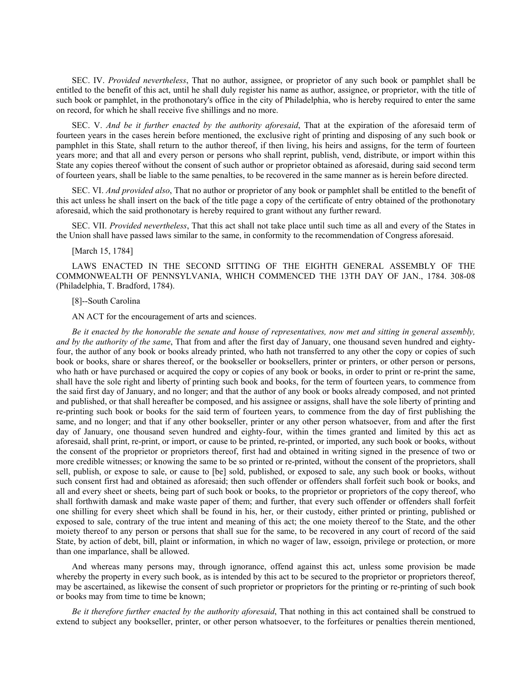SEC. IV. *Provided nevertheless*, That no author, assignee, or proprietor of any such book or pamphlet shall be entitled to the benefit of this act, until he shall duly register his name as author, assignee, or proprietor, with the title of such book or pamphlet, in the prothonotary's office in the city of Philadelphia, who is hereby required to enter the same on record, for which he shall receive five shillings and no more.

SEC. V. *And be it further enacted by the authority aforesaid*, That at the expiration of the aforesaid term of fourteen years in the cases herein before mentioned, the exclusive right of printing and disposing of any such book or pamphlet in this State, shall return to the author thereof, if then living, his heirs and assigns, for the term of fourteen years more; and that all and every person or persons who shall reprint, publish, vend, distribute, or import within this State any copies thereof without the consent of such author or proprietor obtained as aforesaid, during said second term of fourteen years, shall be liable to the same penalties, to be recovered in the same manner as is herein before directed.

SEC. VI. *And provided also*, That no author or proprietor of any book or pamphlet shall be entitled to the benefit of this act unless he shall insert on the back of the title page a copy of the certificate of entry obtained of the prothonotary aforesaid, which the said prothonotary is hereby required to grant without any further reward.

SEC. VII. *Provided nevertheless*, That this act shall not take place until such time as all and every of the States in the Union shall have passed laws similar to the same, in conformity to the recommendation of Congress aforesaid.

## [March 15, 1784]

LAWS ENACTED IN THE SECOND SITTING OF THE EIGHTH GENERAL ASSEMBLY OF THE COMMONWEALTH OF PENNSYLVANIA, WHICH COMMENCED THE 13TH DAY OF JAN., 1784. 308-08 (Philadelphia, T. Bradford, 1784).

## [8]--South Carolina

AN ACT for the encouragement of arts and sciences.

*Be it enacted by the honorable the senate and house of representatives, now met and sitting in general assembly, and by the authority of the same*, That from and after the first day of January, one thousand seven hundred and eightyfour, the author of any book or books already printed, who hath not transferred to any other the copy or copies of such book or books, share or shares thereof, or the bookseller or booksellers, printer or printers, or other person or persons, who hath or have purchased or acquired the copy or copies of any book or books, in order to print or re-print the same, shall have the sole right and liberty of printing such book and books, for the term of fourteen years, to commence from the said first day of January, and no longer; and that the author of any book or books already composed, and not printed and published, or that shall hereafter be composed, and his assignee or assigns, shall have the sole liberty of printing and re-printing such book or books for the said term of fourteen years, to commence from the day of first publishing the same, and no longer; and that if any other bookseller, printer or any other person whatsoever, from and after the first day of January, one thousand seven hundred and eighty-four, within the times granted and limited by this act as aforesaid, shall print, re-print, or import, or cause to be printed, re-printed, or imported, any such book or books, without the consent of the proprietor or proprietors thereof, first had and obtained in writing signed in the presence of two or more credible witnesses; or knowing the same to be so printed or re-printed, without the consent of the proprietors, shall sell, publish, or expose to sale, or cause to [be] sold, published, or exposed to sale, any such book or books, without such consent first had and obtained as aforesaid; then such offender or offenders shall forfeit such book or books, and all and every sheet or sheets, being part of such book or books, to the proprietor or proprietors of the copy thereof, who shall forthwith damask and make waste paper of them; and further, that every such offender or offenders shall forfeit one shilling for every sheet which shall be found in his, her, or their custody, either printed or printing, published or exposed to sale, contrary of the true intent and meaning of this act; the one moiety thereof to the State, and the other moiety thereof to any person or persons that shall sue for the same, to be recovered in any court of record of the said State, by action of debt, bill, plaint or information, in which no wager of law, essoign, privilege or protection, or more than one imparlance, shall be allowed.

And whereas many persons may, through ignorance, offend against this act, unless some provision be made whereby the property in every such book, as is intended by this act to be secured to the proprietor or proprietors thereof, may be ascertained, as likewise the consent of such proprietor or proprietors for the printing or re-printing of such book or books may from time to time be known;

*Be it therefore further enacted by the authority aforesaid*, That nothing in this act contained shall be construed to extend to subject any bookseller, printer, or other person whatsoever, to the forfeitures or penalties therein mentioned,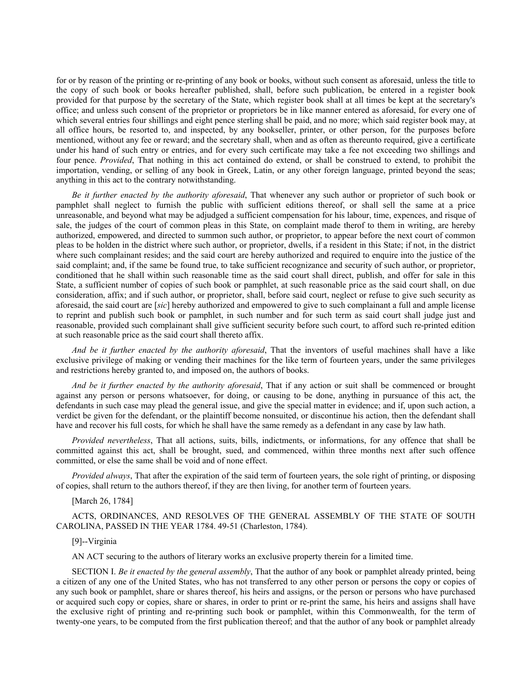for or by reason of the printing or re-printing of any book or books, without such consent as aforesaid, unless the title to the copy of such book or books hereafter published, shall, before such publication, be entered in a register book provided for that purpose by the secretary of the State, which register book shall at all times be kept at the secretary's office; and unless such consent of the proprietor or proprietors be in like manner entered as aforesaid, for every one of which several entries four shillings and eight pence sterling shall be paid, and no more; which said register book may, at all office hours, be resorted to, and inspected, by any bookseller, printer, or other person, for the purposes before mentioned, without any fee or reward; and the secretary shall, when and as often as thereunto required, give a certificate under his hand of such entry or entries, and for every such certificate may take a fee not exceeding two shillings and four pence. *Provided*, That nothing in this act contained do extend, or shall be construed to extend, to prohibit the importation, vending, or selling of any book in Greek, Latin, or any other foreign language, printed beyond the seas; anything in this act to the contrary notwithstanding.

*Be it further enacted by the authority aforesaid*, That whenever any such author or proprietor of such book or pamphlet shall neglect to furnish the public with sufficient editions thereof, or shall sell the same at a price unreasonable, and beyond what may be adjudged a sufficient compensation for his labour, time, expences, and risque of sale, the judges of the court of common pleas in this State, on complaint made therof to them in writing, are hereby authorized, empowered, and directed to summon such author, or proprietor, to appear before the next court of common pleas to be holden in the district where such author, or proprietor, dwells, if a resident in this State; if not, in the district where such complainant resides; and the said court are hereby authorized and required to enquire into the justice of the said complaint; and, if the same be found true, to take sufficient recognizance and security of such author, or proprietor, conditioned that he shall within such reasonable time as the said court shall direct, publish, and offer for sale in this State, a sufficient number of copies of such book or pamphlet, at such reasonable price as the said court shall, on due consideration, affix; and if such author, or proprietor, shall, before said court, neglect or refuse to give such security as aforesaid, the said court are [*sic*] hereby authorized and empowered to give to such complainant a full and ample license to reprint and publish such book or pamphlet, in such number and for such term as said court shall judge just and reasonable, provided such complainant shall give sufficient security before such court, to afford such re-printed edition at such reasonable price as the said court shall thereto affix.

*And be it further enacted by the authority aforesaid*, That the inventors of useful machines shall have a like exclusive privilege of making or vending their machines for the like term of fourteen years, under the same privileges and restrictions hereby granted to, and imposed on, the authors of books.

*And be it further enacted by the authority aforesaid*, That if any action or suit shall be commenced or brought against any person or persons whatsoever, for doing, or causing to be done, anything in pursuance of this act, the defendants in such case may plead the general issue, and give the special matter in evidence; and if, upon such action, a verdict be given for the defendant, or the plaintiff become nonsuited, or discontinue his action, then the defendant shall have and recover his full costs, for which he shall have the same remedy as a defendant in any case by law hath.

*Provided nevertheless*, That all actions, suits, bills, indictments, or informations, for any offence that shall be committed against this act, shall be brought, sued, and commenced, within three months next after such offence committed, or else the same shall be void and of none effect.

*Provided always*, That after the expiration of the said term of fourteen years, the sole right of printing, or disposing of copies, shall return to the authors thereof, if they are then living, for another term of fourteen years.

# [March 26, 1784]

ACTS, ORDINANCES, AND RESOLVES OF THE GENERAL ASSEMBLY OF THE STATE OF SOUTH CAROLINA, PASSED IN THE YEAR 1784. 49-51 (Charleston, 1784).

### [9]--Virginia

AN ACT securing to the authors of literary works an exclusive property therein for a limited time.

SECTION I. *Be it enacted by the general assembly*, That the author of any book or pamphlet already printed, being a citizen of any one of the United States, who has not transferred to any other person or persons the copy or copies of any such book or pamphlet, share or shares thereof, his heirs and assigns, or the person or persons who have purchased or acquired such copy or copies, share or shares, in order to print or re-print the same, his heirs and assigns shall have the exclusive right of printing and re-printing such book or pamphlet, within this Commonwealth, for the term of twenty-one years, to be computed from the first publication thereof; and that the author of any book or pamphlet already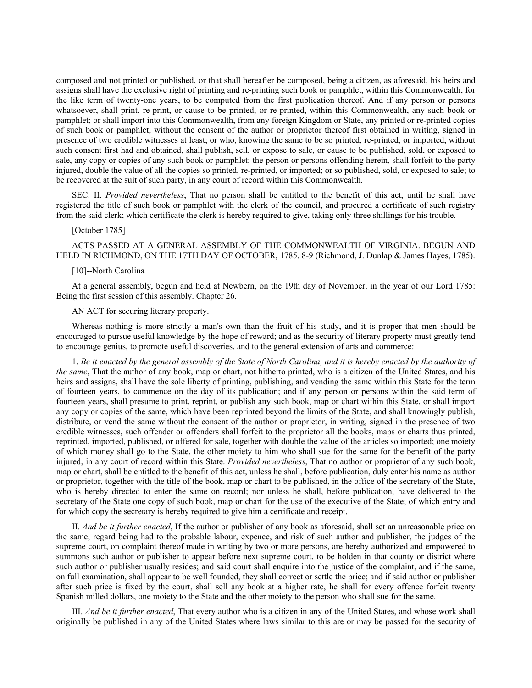composed and not printed or published, or that shall hereafter be composed, being a citizen, as aforesaid, his heirs and assigns shall have the exclusive right of printing and re-printing such book or pamphlet, within this Commonwealth, for the like term of twenty-one years, to be computed from the first publication thereof. And if any person or persons whatsoever, shall print, re-print, or cause to be printed, or re-printed, within this Commonwealth, any such book or pamphlet; or shall import into this Commonwealth, from any foreign Kingdom or State, any printed or re-printed copies of such book or pamphlet; without the consent of the author or proprietor thereof first obtained in writing, signed in presence of two credible witnesses at least; or who, knowing the same to be so printed, re-printed, or imported, without such consent first had and obtained, shall publish, sell, or expose to sale, or cause to be published, sold, or exposed to sale, any copy or copies of any such book or pamphlet; the person or persons offending herein, shall forfeit to the party injured, double the value of all the copies so printed, re-printed, or imported; or so published, sold, or exposed to sale; to be recovered at the suit of such party, in any court of record within this Commonwealth.

SEC. II. *Provided nevertheless*, That no person shall be entitled to the benefit of this act, until he shall have registered the title of such book or pamphlet with the clerk of the council, and procured a certificate of such registry from the said clerk; which certificate the clerk is hereby required to give, taking only three shillings for his trouble.

## [October 1785]

ACTS PASSED AT A GENERAL ASSEMBLY OF THE COMMONWEALTH OF VIRGINIA. BEGUN AND HELD IN RICHMOND, ON THE 17TH DAY OF OCTOBER, 1785. 8-9 (Richmond, J. Dunlap & James Hayes, 1785).

### [10]--North Carolina

At a general assembly, begun and held at Newbern, on the 19th day of November, in the year of our Lord 1785: Being the first session of this assembly. Chapter 26.

#### AN ACT for securing literary property.

Whereas nothing is more strictly a man's own than the fruit of his study, and it is proper that men should be encouraged to pursue useful knowledge by the hope of reward; and as the security of literary property must greatly tend to encourage genius, to promote useful discoveries, and to the general extension of arts and commerce:

1. *Be it enacted by the general assembly of the State of North Carolina, and it is hereby enacted by the authority of the same*, That the author of any book, map or chart, not hitherto printed, who is a citizen of the United States, and his heirs and assigns, shall have the sole liberty of printing, publishing, and vending the same within this State for the term of fourteen years, to commence on the day of its publication; and if any person or persons within the said term of fourteen years, shall presume to print, reprint, or publish any such book, map or chart within this State, or shall import any copy or copies of the same, which have been reprinted beyond the limits of the State, and shall knowingly publish, distribute, or vend the same without the consent of the author or proprietor, in writing, signed in the presence of two credible witnesses, such offender or offenders shall forfeit to the proprietor all the books, maps or charts thus printed, reprinted, imported, published, or offered for sale, together with double the value of the articles so imported; one moiety of which money shall go to the State, the other moiety to him who shall sue for the same for the benefit of the party injured, in any court of record within this State. *Provided nevertheless*, That no author or proprietor of any such book, map or chart, shall be entitled to the benefit of this act, unless he shall, before publication, duly enter his name as author or proprietor, together with the title of the book, map or chart to be published, in the office of the secretary of the State, who is hereby directed to enter the same on record; nor unless he shall, before publication, have delivered to the secretary of the State one copy of such book, map or chart for the use of the executive of the State; of which entry and for which copy the secretary is hereby required to give him a certificate and receipt.

II. *And be it further enacted*, If the author or publisher of any book as aforesaid, shall set an unreasonable price on the same, regard being had to the probable labour, expence, and risk of such author and publisher, the judges of the supreme court, on complaint thereof made in writing by two or more persons, are hereby authorized and empowered to summons such author or publisher to appear before next supreme court, to be holden in that county or district where such author or publisher usually resides; and said court shall enquire into the justice of the complaint, and if the same, on full examination, shall appear to be well founded, they shall correct or settle the price; and if said author or publisher after such price is fixed by the court, shall sell any book at a higher rate, he shall for every offence forfeit twenty Spanish milled dollars, one moiety to the State and the other moiety to the person who shall sue for the same.

III. *And be it further enacted*, That every author who is a citizen in any of the United States, and whose work shall originally be published in any of the United States where laws similar to this are or may be passed for the security of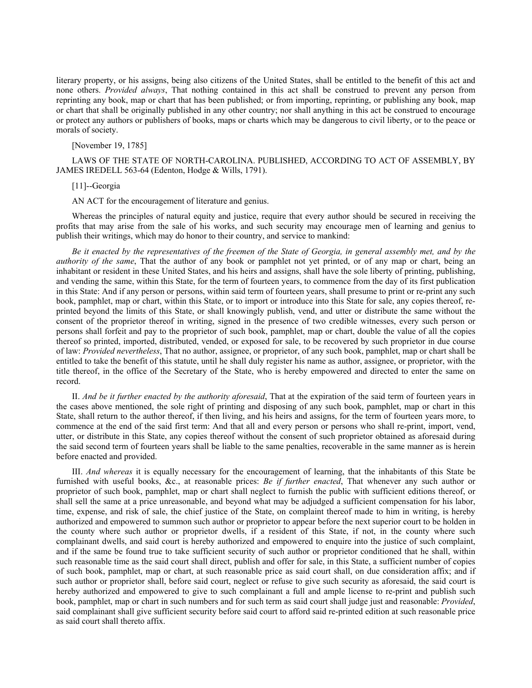literary property, or his assigns, being also citizens of the United States, shall be entitled to the benefit of this act and none others. *Provided always*, That nothing contained in this act shall be construed to prevent any person from reprinting any book, map or chart that has been published; or from importing, reprinting, or publishing any book, map or chart that shall be originally published in any other country; nor shall anything in this act be construed to encourage or protect any authors or publishers of books, maps or charts which may be dangerous to civil liberty, or to the peace or morals of society.

[November 19, 1785]

LAWS OF THE STATE OF NORTH-CAROLINA. PUBLISHED, ACCORDING TO ACT OF ASSEMBLY, BY JAMES IREDELL 563-64 (Edenton, Hodge & Wills, 1791).

[11]--Georgia

AN ACT for the encouragement of literature and genius.

Whereas the principles of natural equity and justice, require that every author should be secured in receiving the profits that may arise from the sale of his works, and such security may encourage men of learning and genius to publish their writings, which may do honor to their country, and service to mankind:

*Be it enacted by the representatives of the freemen of the State of Georgia, in general assembly met, and by the authority of the same*, That the author of any book or pamphlet not yet printed, or of any map or chart, being an inhabitant or resident in these United States, and his heirs and assigns, shall have the sole liberty of printing, publishing, and vending the same, within this State, for the term of fourteen years, to commence from the day of its first publication in this State: And if any person or persons, within said term of fourteen years, shall presume to print or re-print any such book, pamphlet, map or chart, within this State, or to import or introduce into this State for sale, any copies thereof, reprinted beyond the limits of this State, or shall knowingly publish, vend, and utter or distribute the same without the consent of the proprietor thereof in writing, signed in the presence of two credible witnesses, every such person or persons shall forfeit and pay to the proprietor of such book, pamphlet, map or chart, double the value of all the copies thereof so printed, imported, distributed, vended, or exposed for sale, to be recovered by such proprietor in due course of law: *Provided nevertheless*, That no author, assignee, or proprietor, of any such book, pamphlet, map or chart shall be entitled to take the benefit of this statute, until he shall duly register his name as author, assignee, or proprietor, with the title thereof, in the office of the Secretary of the State, who is hereby empowered and directed to enter the same on record.

II. *And be it further enacted by the authority aforesaid*, That at the expiration of the said term of fourteen years in the cases above mentioned, the sole right of printing and disposing of any such book, pamphlet, map or chart in this State, shall return to the author thereof, if then living, and his heirs and assigns, for the term of fourteen years more, to commence at the end of the said first term: And that all and every person or persons who shall re-print, import, vend, utter, or distribute in this State, any copies thereof without the consent of such proprietor obtained as aforesaid during the said second term of fourteen years shall be liable to the same penalties, recoverable in the same manner as is herein before enacted and provided.

III. *And whereas* it is equally necessary for the encouragement of learning, that the inhabitants of this State be furnished with useful books, &c., at reasonable prices: *Be if further enacted*, That whenever any such author or proprietor of such book, pamphlet, map or chart shall neglect to furnish the public with sufficient editions thereof, or shall sell the same at a price unreasonable, and beyond what may be adjudged a sufficient compensation for his labor, time, expense, and risk of sale, the chief justice of the State, on complaint thereof made to him in writing, is hereby authorized and empowered to summon such author or proprietor to appear before the next superior court to be holden in the county where such author or proprietor dwells, if a resident of this State, if not, in the county where such complainant dwells, and said court is hereby authorized and empowered to enquire into the justice of such complaint, and if the same be found true to take sufficient security of such author or proprietor conditioned that he shall, within such reasonable time as the said court shall direct, publish and offer for sale, in this State, a sufficient number of copies of such book, pamphlet, map or chart, at such reasonable price as said court shall, on due consideration affix; and if such author or proprietor shall, before said court, neglect or refuse to give such security as aforesaid, the said court is hereby authorized and empowered to give to such complainant a full and ample license to re-print and publish such book, pamphlet, map or chart in such numbers and for such term as said court shall judge just and reasonable: *Provided*, said complainant shall give sufficient security before said court to afford said re-printed edition at such reasonable price as said court shall thereto affix.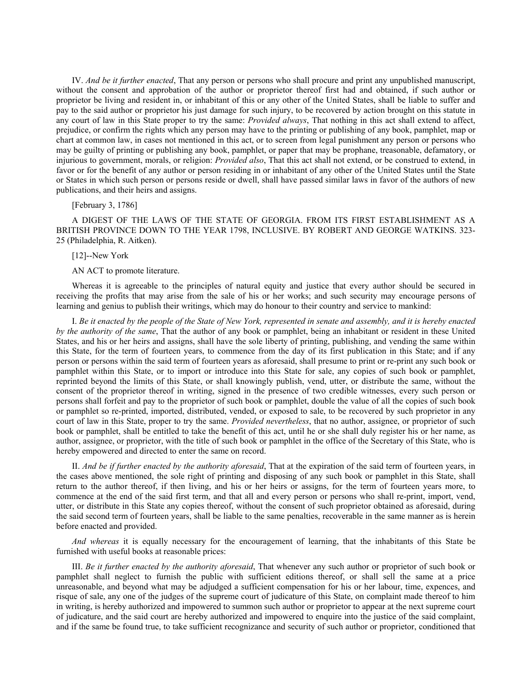IV. *And be it further enacted*, That any person or persons who shall procure and print any unpublished manuscript, without the consent and approbation of the author or proprietor thereof first had and obtained, if such author or proprietor be living and resident in, or inhabitant of this or any other of the United States, shall be liable to suffer and pay to the said author or proprietor his just damage for such injury, to be recovered by action brought on this statute in any court of law in this State proper to try the same: *Provided always*, That nothing in this act shall extend to affect, prejudice, or confirm the rights which any person may have to the printing or publishing of any book, pamphlet, map or chart at common law, in cases not mentioned in this act, or to screen from legal punishment any person or persons who may be guilty of printing or publishing any book, pamphlet, or paper that may be prophane, treasonable, defamatory, or injurious to government, morals, or religion: *Provided also*, That this act shall not extend, or be construed to extend, in favor or for the benefit of any author or person residing in or inhabitant of any other of the United States until the State or States in which such person or persons reside or dwell, shall have passed similar laws in favor of the authors of new publications, and their heirs and assigns.

[February 3, 1786]

A DIGEST OF THE LAWS OF THE STATE OF GEORGIA. FROM ITS FIRST ESTABLISHMENT AS A BRITISH PROVINCE DOWN TO THE YEAR 1798, INCLUSIVE. BY ROBERT AND GEORGE WATKINS. 323- 25 (Philadelphia, R. Aitken).

[12]--New York

AN ACT to promote literature.

Whereas it is agreeable to the principles of natural equity and justice that every author should be secured in receiving the profits that may arise from the sale of his or her works; and such security may encourage persons of learning and genius to publish their writings, which may do honour to their country and service to mankind:

I. *Be it enacted by the people of the State of New York, represented in senate and assembly, and it is hereby enacted by the authority of the same*, That the author of any book or pamphlet, being an inhabitant or resident in these United States, and his or her heirs and assigns, shall have the sole liberty of printing, publishing, and vending the same within this State, for the term of fourteen years, to commence from the day of its first publication in this State; and if any person or persons within the said term of fourteen years as aforesaid, shall presume to print or re-print any such book or pamphlet within this State, or to import or introduce into this State for sale, any copies of such book or pamphlet, reprinted beyond the limits of this State, or shall knowingly publish, vend, utter, or distribute the same, without the consent of the proprietor thereof in writing, signed in the presence of two credible witnesses, every such person or persons shall forfeit and pay to the proprietor of such book or pamphlet, double the value of all the copies of such book or pamphlet so re-printed, imported, distributed, vended, or exposed to sale, to be recovered by such proprietor in any court of law in this State, proper to try the same. *Provided nevertheless*, that no author, assignee, or proprietor of such book or pamphlet, shall be entitled to take the benefit of this act, until he or she shall duly register his or her name, as author, assignee, or proprietor, with the title of such book or pamphlet in the office of the Secretary of this State, who is hereby empowered and directed to enter the same on record.

II. *And be if further enacted by the authority aforesaid*, That at the expiration of the said term of fourteen years, in the cases above mentioned, the sole right of printing and disposing of any such book or pamphlet in this State, shall return to the author thereof, if then living, and his or her heirs or assigns, for the term of fourteen years more, to commence at the end of the said first term, and that all and every person or persons who shall re-print, import, vend, utter, or distribute in this State any copies thereof, without the consent of such proprietor obtained as aforesaid, during the said second term of fourteen years, shall be liable to the same penalties, recoverable in the same manner as is herein before enacted and provided.

*And whereas* it is equally necessary for the encouragement of learning, that the inhabitants of this State be furnished with useful books at reasonable prices:

III. *Be it further enacted by the authority aforesaid*, That whenever any such author or proprietor of such book or pamphlet shall neglect to furnish the public with sufficient editions thereof, or shall sell the same at a price unreasonable, and beyond what may be adjudged a sufficient compensation for his or her labour, time, expences, and risque of sale, any one of the judges of the supreme court of judicature of this State, on complaint made thereof to him in writing, is hereby authorized and impowered to summon such author or proprietor to appear at the next supreme court of judicature, and the said court are hereby authorized and impowered to enquire into the justice of the said complaint, and if the same be found true, to take sufficient recognizance and security of such author or proprietor, conditioned that